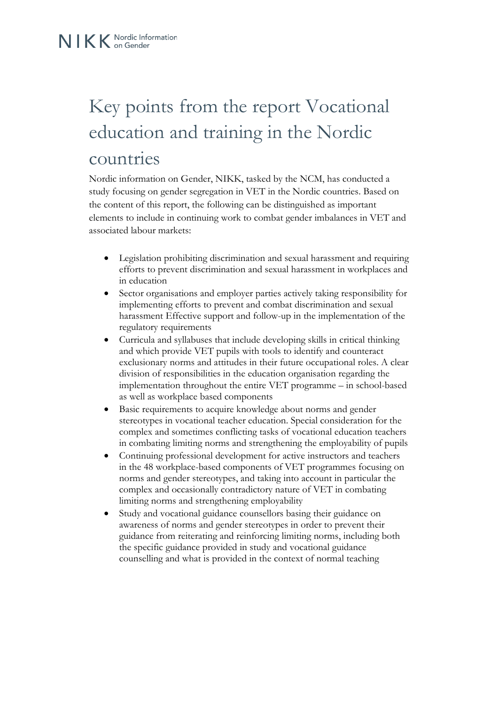## Key points from the report Vocational education and training in the Nordic countries

Nordic information on Gender, NIKK, tasked by the NCM, has conducted a study focusing on gender segregation in VET in the Nordic countries. Based on the content of this report, the following can be distinguished as important elements to include in continuing work to combat gender imbalances in VET and associated labour markets:

- Legislation prohibiting discrimination and sexual harassment and requiring efforts to prevent discrimination and sexual harassment in workplaces and in education
- Sector organisations and employer parties actively taking responsibility for implementing efforts to prevent and combat discrimination and sexual harassment Effective support and follow-up in the implementation of the regulatory requirements
- Curricula and syllabuses that include developing skills in critical thinking and which provide VET pupils with tools to identify and counteract exclusionary norms and attitudes in their future occupational roles. A clear division of responsibilities in the education organisation regarding the implementation throughout the entire VET programme – in school-based as well as workplace based components
- Basic requirements to acquire knowledge about norms and gender stereotypes in vocational teacher education. Special consideration for the complex and sometimes conflicting tasks of vocational education teachers in combating limiting norms and strengthening the employability of pupils
- Continuing professional development for active instructors and teachers in the 48 workplace-based components of VET programmes focusing on norms and gender stereotypes, and taking into account in particular the complex and occasionally contradictory nature of VET in combating limiting norms and strengthening employability
- Study and vocational guidance counsellors basing their guidance on awareness of norms and gender stereotypes in order to prevent their guidance from reiterating and reinforcing limiting norms, including both the specific guidance provided in study and vocational guidance counselling and what is provided in the context of normal teaching